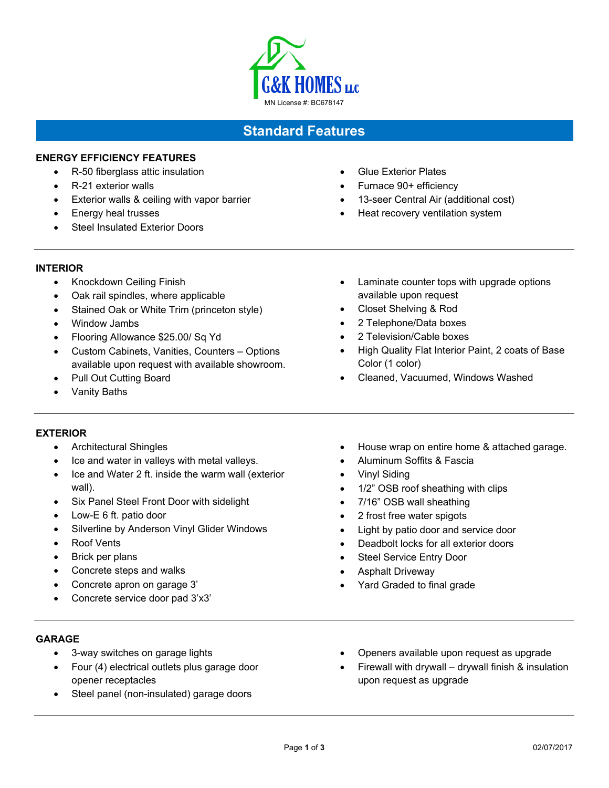

# **Standard Features**

# **ENERGY EFFICIENCY FEATURES**

- R-50 fiberglass attic insulation
- R-21 exterior walls
- Exterior walls & ceiling with vapor barrier
- Energy heal trusses
- Steel Insulated Exterior Doors
- Glue Exterior Plates
- Furnace 90+ efficiency
- 13-seer Central Air (additional cost)

• Laminate counter tops with upgrade options

Cleaned, Vacuumed, Windows Washed

Heat recovery ventilation system

available upon request Closet Shelving & Rod 2 Telephone/Data boxes 2 Television/Cable boxes

Color (1 color)

- **INTERIOR** 
	- Knockdown Ceiling Finish
	- Oak rail spindles, where applicable
	- Stained Oak or White Trim (princeton style)
	- Window Jambs
	- Flooring Allowance \$25.00/ Sq Yd
	- Custom Cabinets, Vanities, Counters Options available upon request with available showroom.
	- Pull Out Cutting Board
	- Vanity Baths

## **EXTERIOR**

- Architectural Shingles
- Ice and water in valleys with metal valleys.
- Ice and Water 2 ft. inside the warm wall (exterior wall).
- Six Panel Steel Front Door with sidelight
- Low-E 6 ft. patio door
- Silverline by Anderson Vinyl Glider Windows
- Roof Vents
- Brick per plans
- Concrete steps and walks
- Concrete apron on garage 3'
- Concrete service door pad 3'x3'

• House wrap on entire home & attached garage.

High Quality Flat Interior Paint, 2 coats of Base

- Aluminum Soffits & Fascia
- Vinyl Siding
- 1/2" OSB roof sheathing with clips
- 7/16" OSB wall sheathing
- 2 frost free water spigots
- Light by patio door and service door
- Deadbolt locks for all exterior doors
- Steel Service Entry Door
- Asphalt Driveway
- Yard Graded to final grade

#### **GARAGE**

- 3-way switches on garage lights
- Four (4) electrical outlets plus garage door opener receptacles
- Steel panel (non-insulated) garage doors
- Openers available upon request as upgrade
- Firewall with drywall drywall finish & insulation upon request as upgrade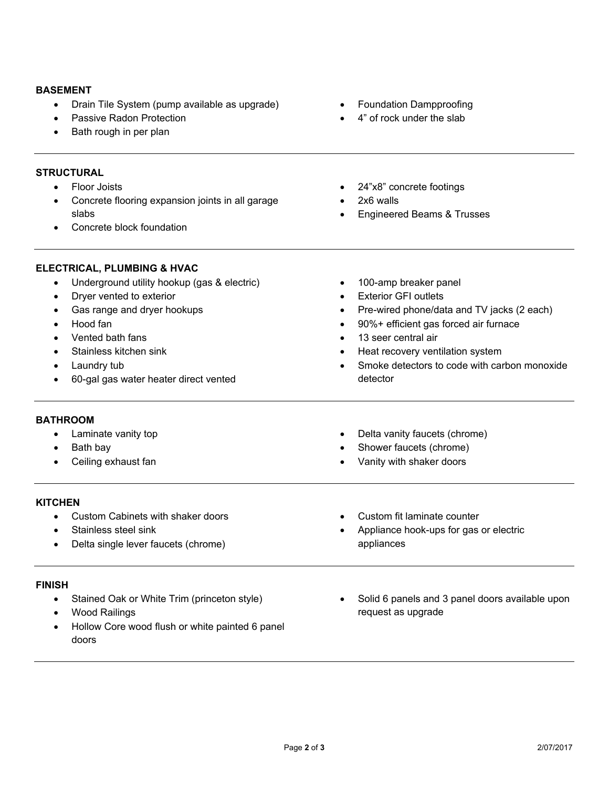#### **BASEMENT**

- Drain Tile System (pump available as upgrade)
- Passive Radon Protection
- Bath rough in per plan

#### **STRUCTURAL**

- Floor Joists
- Concrete flooring expansion joints in all garage slabs
- Concrete block foundation
- Foundation Dampproofing
- 4" of rock under the slab
- 24"x8" concrete footings
- 2x6 walls
- Engineered Beams & Trusses
- **ELECTRICAL, PLUMBING & HVAC**  Underground utility hookup (gas & electric) Dryer vented to exterior Gas range and dryer hookups Hood fan Vented bath fans Stainless kitchen sink Laundry tub 60-gal gas water heater direct vented • 100-amp breaker panel Exterior GFI outlets Pre-wired phone/data and TV jacks (2 each) 90%+ efficient gas forced air furnace 13 seer central air Heat recovery ventilation system Smoke detectors to code with carbon monoxide detector **BATHROOM**  • Laminate vanity top • Bath bay Ceiling exhaust fan Delta vanity faucets (chrome) Shower faucets (chrome) Vanity with shaker doors **KITCHEN**  Custom Cabinets with shaker doors Stainless steel sink Delta single lever faucets (chrome) Custom fit laminate counter Appliance hook-ups for gas or electric appliances **FINISH**  • Stained Oak or White Trim (princeton style) Solid 6 panels and 3 panel doors available upon
	- Wood Railings
	- Hollow Core wood flush or white painted 6 panel doors
- request as upgrade